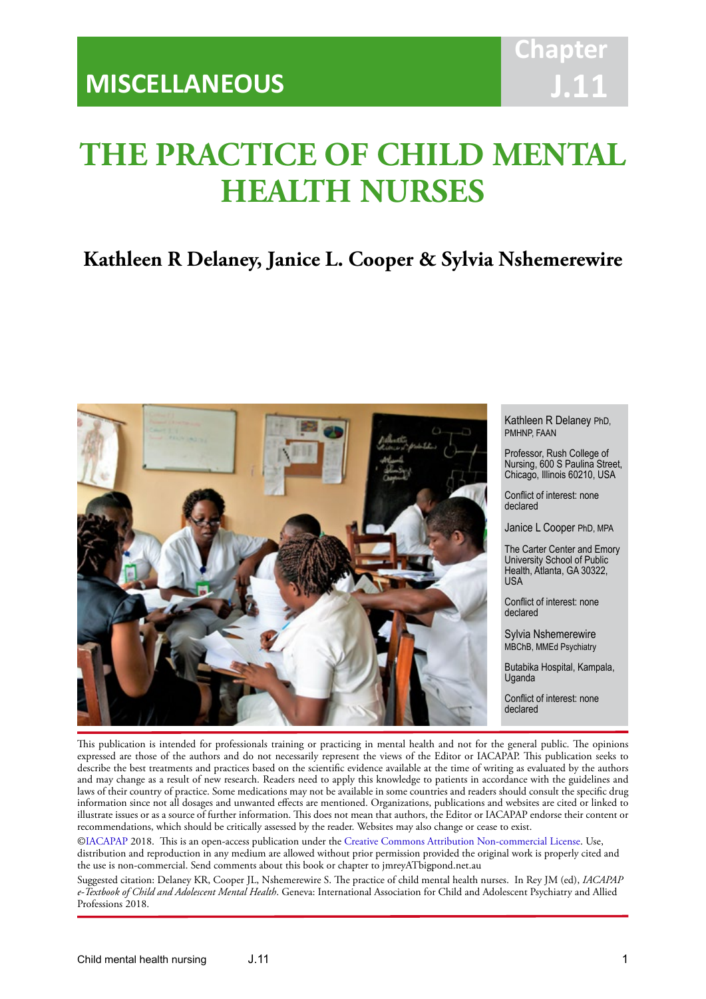# **Chapter J.11**

# **THE PRACTICE OF CHILD MENTAL HEALTH NURSES**

IACAPAP Textbook of Child and Adolescent Mental Health

# **Kathleen R Delaney, Janice L. Cooper & Sylvia Nshemerewire**



Kathleen R Delaney PhD, PMHNP, FAAN

Professor, Rush College of Nursing, 600 S Paulina Street, Chicago, Illinois 60210, USA

Conflict of interest: none declared

Janice L Cooper PhD, MPA

The Carter Center and Emory University School of Public Health, Atlanta, GA 30322, USA

Conflict of interest: none declared

Sylvia Nshemerewire MBChB, MMEd Psychiatry

Butabika Hospital, Kampala, Uganda

Conflict of interest: none declared

This publication is intended for professionals training or practicing in mental health and not for the general public. The opinions expressed are those of the authors and do not necessarily represent the views of the Editor or IACAPAP. This publication seeks to describe the best treatments and practices based on the scientific evidence available at the time of writing as evaluated by the authors and may change as a result of new research. Readers need to apply this knowledge to patients in accordance with the guidelines and laws of their country of practice. Some medications may not be available in some countries and readers should consult the specific drug information since not all dosages and unwanted effects are mentioned. Organizations, publications and websites are cited or linked to illustrate issues or as a source of further information. This does not mean that authors, the Editor or IACAPAP endorse their content or recommendations, which should be critically assessed by the reader. Websites may also change or cease to exist.

[©IACAPAP](http://iacapap.org/) 2018. This is an open-access publication under the [Creative Commons Attribution Non-commercial License](http://creativecommons.org/licenses/by-nc/2.0/). Use, distribution and reproduction in any medium are allowed without prior permission provided the original work is properly cited and the use is non-commercial. Send comments about this book or chapter to jmreyATbigpond.net.au

Suggested citation: Delaney KR, Cooper JL, Nshemerewire S. The practice of child mental health nurses. In Rey JM (ed), *IACAPAP e-Textbook of Child and Adolescent Mental Health*. Geneva: International Association for Child and Adolescent Psychiatry and Allied Professions 2018.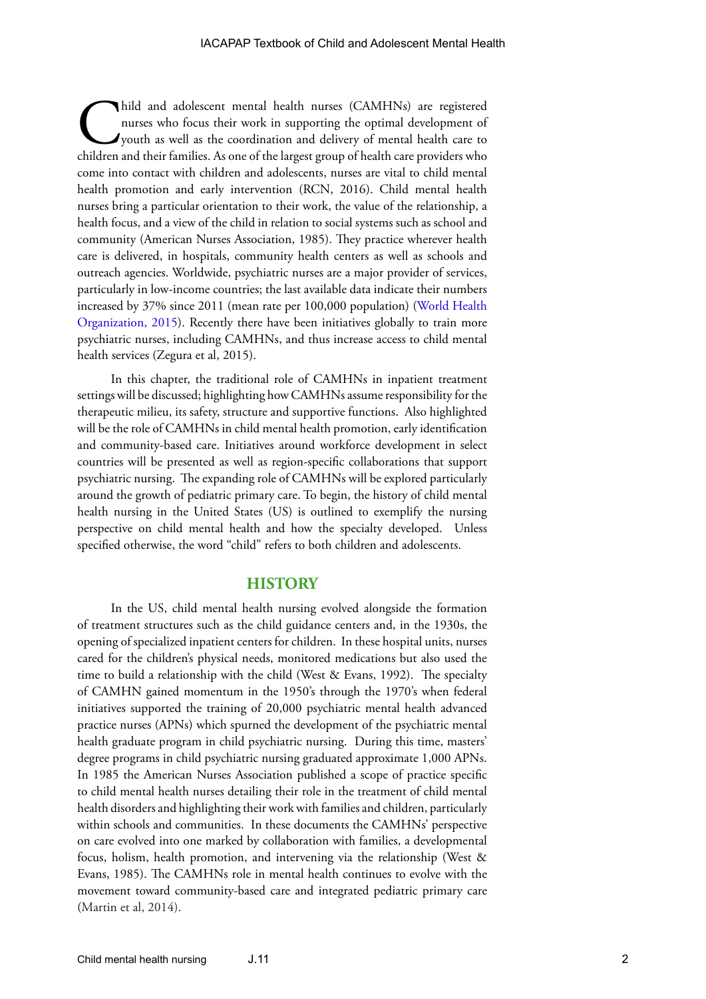hild and adolescent mental health nurses (CAMHNs) are registered nurses who focus their work in supporting the optimal development of youth as well as the coordination and delivery of mental health care to children and the nurses who focus their work in supporting the optimal development of youth as well as the coordination and delivery of mental health care to children and their families. As one of the largest group of health care providers who come into contact with children and adolescents, nurses are vital to child mental health promotion and early intervention (RCN, 2016). Child mental health nurses bring a particular orientation to their work, the value of the relationship, a health focus, and a view of the child in relation to social systems such as school and community (American Nurses Association, 1985). They practice wherever health care is delivered, in hospitals, community health centers as well as schools and outreach agencies. Worldwide, psychiatric nurses are a major provider of services, particularly in low-income countries; the last available data indicate their numbers increased by 37% since 2011 (mean rate per 100,000 population) ([World Health](http://apps.who.int/iris/bitstream/10665/178879/1/9789241565011_eng.pdf)  [Organization, 2015\)](http://apps.who.int/iris/bitstream/10665/178879/1/9789241565011_eng.pdf). Recently there have been initiatives globally to train more psychiatric nurses, including CAMHNs, and thus increase access to child mental health services (Zegura et al, 2015).

In this chapter, the traditional role of CAMHNs in inpatient treatment settings will be discussed; highlighting how CAMHNs assume responsibility for the therapeutic milieu, its safety, structure and supportive functions. Also highlighted will be the role of CAMHNs in child mental health promotion, early identification and community-based care. Initiatives around workforce development in select countries will be presented as well as region-specific collaborations that support psychiatric nursing. The expanding role of CAMHNs will be explored particularly around the growth of pediatric primary care. To begin, the history of child mental health nursing in the United States (US) is outlined to exemplify the nursing perspective on child mental health and how the specialty developed. Unless specified otherwise, the word "child" refers to both children and adolescents.

### **HISTORY**

In the US, child mental health nursing evolved alongside the formation of treatment structures such as the child guidance centers and, in the 1930s, the opening of specialized inpatient centers for children. In these hospital units, nurses cared for the children's physical needs, monitored medications but also used the time to build a relationship with the child (West & Evans, 1992). The specialty of CAMHN gained momentum in the 1950's through the 1970's when federal initiatives supported the training of 20,000 psychiatric mental health advanced practice nurses (APNs) which spurned the development of the psychiatric mental health graduate program in child psychiatric nursing. During this time, masters' degree programs in child psychiatric nursing graduated approximate 1,000 APNs. In 1985 the American Nurses Association published a scope of practice specific to child mental health nurses detailing their role in the treatment of child mental health disorders and highlighting their work with families and children, particularly within schools and communities. In these documents the CAMHNs' perspective on care evolved into one marked by collaboration with families, a developmental focus, holism, health promotion, and intervening via the relationship (West & Evans, 1985). The CAMHNs role in mental health continues to evolve with the movement toward community-based care and integrated pediatric primary care (Martin et al, 2014).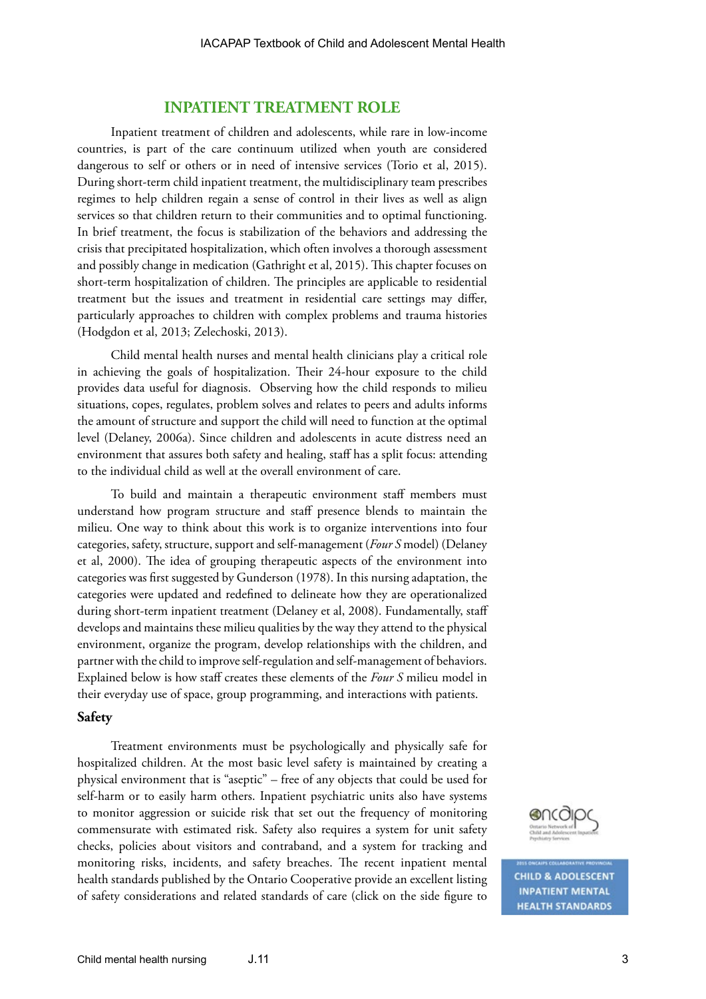## **INPATIENT TREATMENT ROLE**

Inpatient treatment of children and adolescents, while rare in low-income countries, is part of the care continuum utilized when youth are considered dangerous to self or others or in need of intensive services (Torio et al, 2015). During short-term child inpatient treatment, the multidisciplinary team prescribes regimes to help children regain a sense of control in their lives as well as align services so that children return to their communities and to optimal functioning. In brief treatment, the focus is stabilization of the behaviors and addressing the crisis that precipitated hospitalization, which often involves a thorough assessment and possibly change in medication (Gathright et al, 2015). This chapter focuses on short-term hospitalization of children. The principles are applicable to residential treatment but the issues and treatment in residential care settings may differ, particularly approaches to children with complex problems and trauma histories (Hodgdon et al, 2013; Zelechoski, 2013).

Child mental health nurses and mental health clinicians play a critical role in achieving the goals of hospitalization. Their 24-hour exposure to the child provides data useful for diagnosis. Observing how the child responds to milieu situations, copes, regulates, problem solves and relates to peers and adults informs the amount of structure and support the child will need to function at the optimal level (Delaney, 2006a). Since children and adolescents in acute distress need an environment that assures both safety and healing, staff has a split focus: attending to the individual child as well at the overall environment of care.

To build and maintain a therapeutic environment staff members must understand how program structure and staff presence blends to maintain the milieu. One way to think about this work is to organize interventions into four categories, safety, structure, support and self-management (*Four S* model) (Delaney et al, 2000). The idea of grouping therapeutic aspects of the environment into categories was first suggested by Gunderson (1978). In this nursing adaptation, the categories were updated and redefined to delineate how they are operationalized during short-term inpatient treatment (Delaney et al, 2008). Fundamentally, staff develops and maintains these milieu qualities by the way they attend to the physical environment, organize the program, develop relationships with the children, and partner with the child to improve self-regulation and self-management of behaviors. Explained below is how staff creates these elements of the *Four S* milieu model in their everyday use of space, group programming, and interactions with patients.

#### **Safety**

Treatment environments must be psychologically and physically safe for hospitalized children. At the most basic level safety is maintained by creating a physical environment that is "aseptic" – free of any objects that could be used for self-harm or to easily harm others. Inpatient psychiatric units also have systems to monitor aggression or suicide risk that set out the frequency of monitoring commensurate with estimated risk. Safety also requires a system for unit safety checks, policies about visitors and contraband, and a system for tracking and monitoring risks, incidents, and safety breaches. The recent inpatient mental health standards published by the Ontario Cooperative provide an excellent listing of safety considerations and related standards of care (click on the side figure to



**CHILD & ADOLESCENT INPATIENT MENTAL HEALTH STANDARDS**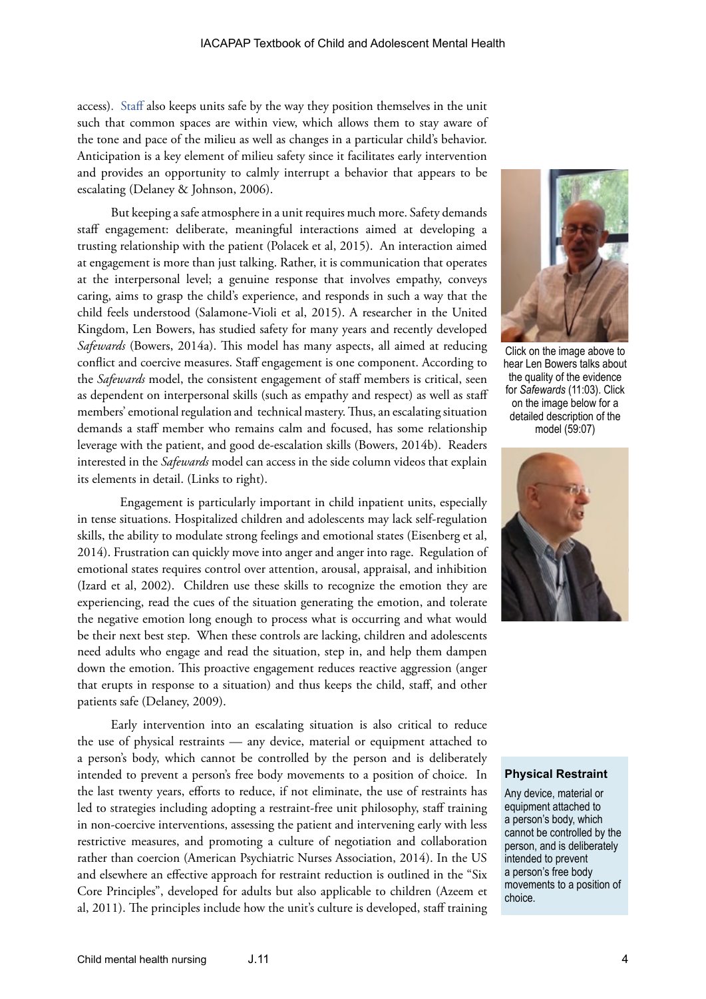access). Staff also keeps units safe by the way they position themselves in the unit such that common spaces are within view, which allows them to stay aware of the tone and pace of the milieu as well as changes in a particular child's behavior. Anticipation is a key element of milieu safety since it facilitates early intervention and provides an opportunity to calmly interrupt a behavior that appears to be escalating (Delaney & Johnson, 2006).

But keeping a safe atmosphere in a unit requires much more. Safety demands staff engagement: deliberate, meaningful interactions aimed at developing a trusting relationship with the patient (Polacek et al, 2015). An interaction aimed at engagement is more than just talking. Rather, it is communication that operates at the interpersonal level; a genuine response that involves empathy, conveys caring, aims to grasp the child's experience, and responds in such a way that the child feels understood (Salamone‐Violi et al, 2015). A researcher in the United Kingdom, Len Bowers, has studied safety for many years and recently developed *Safewards* (Bowers, 2014a). This model has many aspects, all aimed at reducing conflict and coercive measures. Staff engagement is one component. According to the *Safewards* model, the consistent engagement of staff members is critical, seen as dependent on interpersonal skills (such as empathy and respect) as well as staff members' emotional regulation and technical mastery. Thus, an escalating situation demands a staff member who remains calm and focused, has some relationship leverage with the patient, and good de-escalation skills (Bowers, 2014b). Readers interested in the *Safewards* model can access in the side column videos that explain its elements in detail. (Links to right).

Engagement is particularly important in child inpatient units, especially in tense situations. Hospitalized children and adolescents may lack self-regulation skills, the ability to modulate strong feelings and emotional states (Eisenberg et al, 2014). Frustration can quickly move into anger and anger into rage. Regulation of emotional states requires control over attention, arousal, appraisal, and inhibition (Izard et al, 2002). Children use these skills to recognize the emotion they are experiencing, read the cues of the situation generating the emotion, and tolerate the negative emotion long enough to process what is occurring and what would be their next best step. When these controls are lacking, children and adolescents need adults who engage and read the situation, step in, and help them dampen down the emotion. This proactive engagement reduces reactive aggression (anger that erupts in response to a situation) and thus keeps the child, staff, and other patients safe (Delaney, 2009).

Early intervention into an escalating situation is also critical to reduce the use of physical restraints — any device, material or equipment attached to a person's body, which cannot be controlled by the person and is deliberately intended to prevent a person's free body movements to a position of choice.In the last twenty years, efforts to reduce, if not eliminate, the use of restraints has led to strategies including adopting a restraint-free unit philosophy, staff training in non-coercive interventions, assessing the patient and intervening early with less restrictive measures, and promoting a culture of negotiation and collaboration rather than coercion (American Psychiatric Nurses Association, 2014). In the US and elsewhere an effective approach for restraint reduction is outlined in the "Six Core Principles", developed for adults but also applicable to children (Azeem et al, 2011). The principles include how the unit's culture is developed, staff training



Click on the image above to hear Len Bowers talks about the quality of the evidence for *Safewards* (11:03). Click on the image below for a detailed description of the model (59:07)



#### **Physical Restraint**

Any device, material or equipment attached to a person's body, which cannot be controlled by the person, and is deliberately intended to prevent a person's free body movements to a position of choice.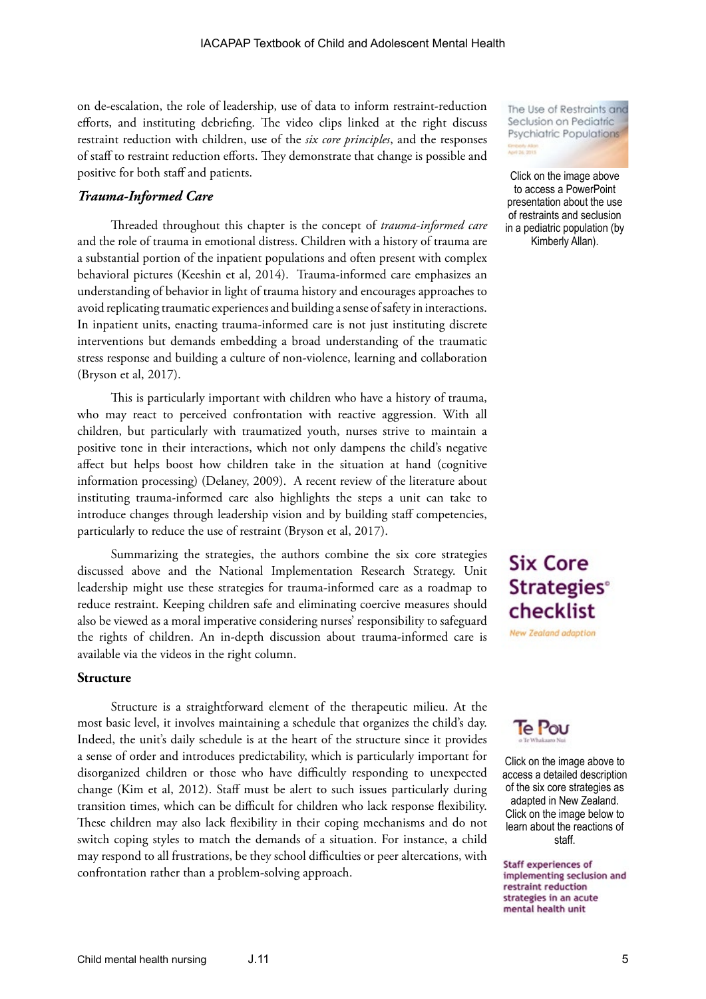on de-escalation, the role of leadership, use of data to inform restraint-reduction efforts, and instituting debriefing. The video clips linked at the right discuss restraint reduction with children, use of the *six core principles*, and the responses of staff to restraint reduction efforts. They demonstrate that change is possible and positive for both staff and patients.

### *Trauma-Informed Care*

Threaded throughout this chapter is the concept of *trauma-informed care* and the role of trauma in emotional distress. Children with a history of trauma are a substantial portion of the inpatient populations and often present with complex behavioral pictures (Keeshin et al, 2014). Trauma-informed care emphasizes an understanding of behavior in light of trauma history and encourages approaches to avoid replicating traumatic experiences and building a sense of safety in interactions. In inpatient units, enacting trauma-informed care is not just instituting discrete interventions but demands embedding a broad understanding of the traumatic stress response and building a culture of non-violence, learning and collaboration (Bryson et al, 2017).

This is particularly important with children who have a history of trauma, who may react to perceived confrontation with reactive aggression. With all children, but particularly with traumatized youth, nurses strive to maintain a positive tone in their interactions, which not only dampens the child's negative affect but helps boost how children take in the situation at hand (cognitive information processing) (Delaney, 2009). A recent review of the literature about instituting trauma-informed care also highlights the steps a unit can take to introduce changes through leadership vision and by building staff competencies, particularly to reduce the use of restraint (Bryson et al, 2017).

Summarizing the strategies, the authors combine the six core strategies discussed above and the National Implementation Research Strategy. Unit leadership might use these strategies for trauma-informed care as a roadmap to reduce restraint. Keeping children safe and eliminating coercive measures should also be viewed as a moral imperative considering nurses' responsibility to safeguard the rights of children. An in-depth discussion about trauma-informed care is available via the videos in the right column.

#### **Structure**

Structure is a straightforward element of the therapeutic milieu. At the most basic level, it involves maintaining a schedule that organizes the child's day. Indeed, the unit's daily schedule is at the heart of the structure since it provides a sense of order and introduces predictability, which is particularly important for disorganized children or those who have difficultly responding to unexpected change (Kim et al, 2012). Staff must be alert to such issues particularly during transition times, which can be difficult for children who lack response flexibility. These children may also lack flexibility in their coping mechanisms and do not switch coping styles to match the demands of a situation. For instance, a child may respond to all frustrations, be they school difficulties or peer altercations, with confrontation rather than a problem-solving approach.

The Use of Restraints and Seclusion on Pediatric Psychiatric Populations Kimberty Allon<br>April 26, 2015

Click on the image above to access a PowerPoint presentation about the use of restraints and seclusion in a pediatric population (by Kimberly Allan).

# **Six Core Strategies<sup>®</sup>** checklist

New Zealand adaption



Click on the image above to access a detailed description of the six core strategies as adapted in New Zealand. Click on the image below to learn about the reactions of staff.

**Staff experiences of** implementing seclusion and restraint reduction strategies in an acute mental health unit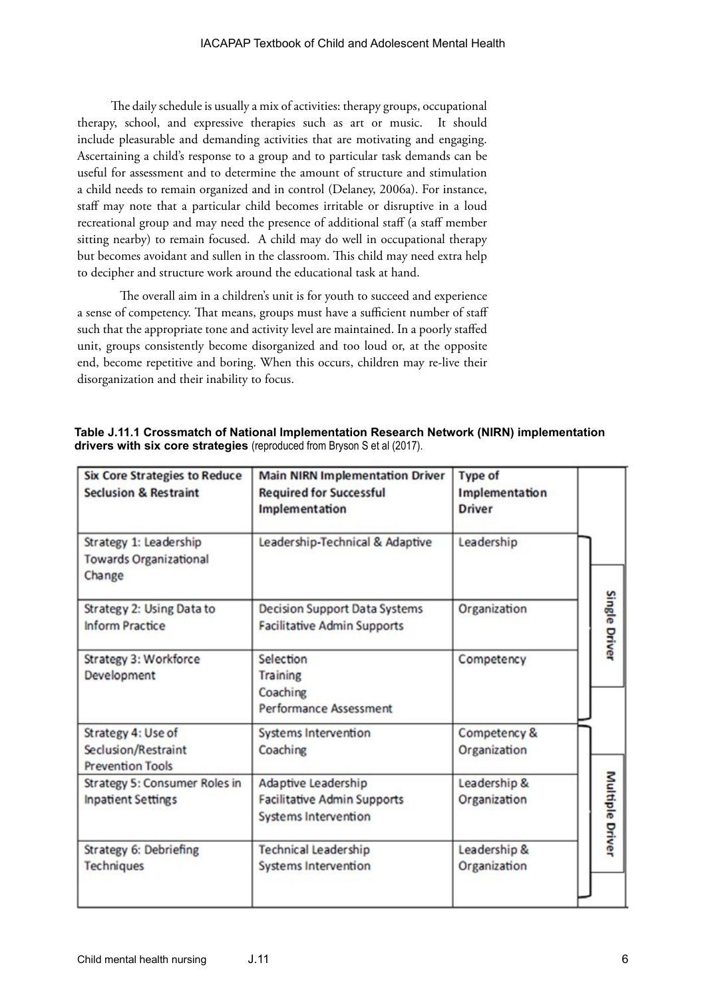The daily schedule is usually a mix of activities: therapy groups, occupational therapy, school, and expressive therapies such as art or music. It should include pleasurable and demanding activities that are motivating and engaging. Ascertaining a child's response to a group and to particular task demands can be useful for assessment and to determine the amount of structure and stimulation a child needs to remain organized and in control (Delaney, 2006a). For instance, staff may note that a particular child becomes irritable or disruptive in a loud recreational group and may need the presence of additional staff (a staff member sitting nearby) to remain focused. A child may do well in occupational therapy but becomes avoidant and sullen in the classroom. This child may need extra help to decipher and structure work around the educational task at hand.

The overall aim in a children's unit is for youth to succeed and experience a sense of competency. That means, groups must have a sufficient number of staff such that the appropriate tone and activity level are maintained. In a poorly staffed unit, groups consistently become disorganized and too loud or, at the opposite end, become repetitive and boring. When this occurs, children may re-live their disorganization and their inability to focus.

| <b>Six Core Strategies to Reduce</b><br><b>Seclusion &amp; Restraint</b> | <b>Main NIRN Implementation Driver</b><br><b>Required for Successful</b><br>Implementation | <b>Type of</b><br>Implementation<br><b>Driver</b> |                        |
|--------------------------------------------------------------------------|--------------------------------------------------------------------------------------------|---------------------------------------------------|------------------------|
| Strategy 1: Leadership<br><b>Towards Organizational</b><br>Change        | Leadership-Technical & Adaptive                                                            | Leadership                                        |                        |
| Strategy 2: Using Data to<br><b>Inform Practice</b>                      | <b>Decision Support Data Systems</b><br><b>Facilitative Admin Supports</b>                 | Organization                                      | Single Driver          |
| Strategy 3: Workforce<br>Development                                     | Selection<br>Training<br>Coaching<br><b>Performance Assessment</b>                         | Competency                                        |                        |
| Strategy 4: Use of<br>Seclusion/Restraint<br><b>Prevention Tools</b>     | <b>Systems Intervention</b><br>Coaching                                                    | Competency &<br>Organization                      |                        |
| Strategy 5: Consumer Roles in<br><b>Inpatient Settings</b>               | Adaptive Leadership<br><b>Facilitative Admin Supports</b><br>Systems Intervention          | Leadership &<br>Organization                      | <b>Multiple Driver</b> |
| Strategy 6: Debriefing<br><b>Techniques</b>                              | <b>Technical Leadership</b><br><b>Systems Intervention</b>                                 | Leadership &<br>Organization                      |                        |

**Table J.11.1 Crossmatch of National Implementation Research Network (NIRN) implementation drivers with six core strategies** (reproduced from Bryson S et al (2017).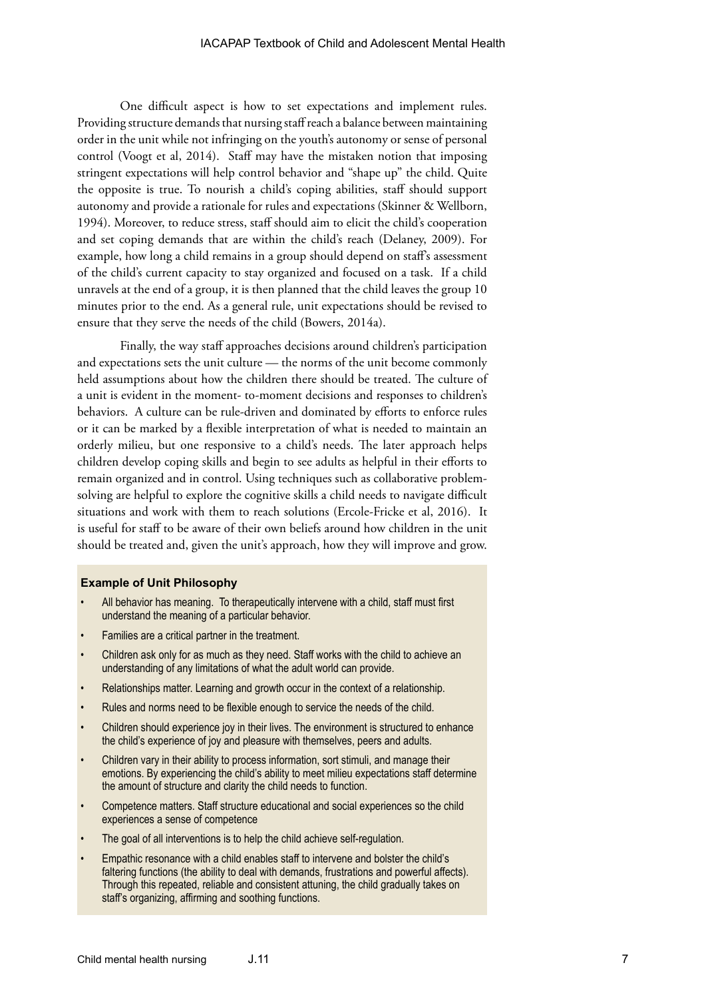One difficult aspect is how to set expectations and implement rules. Providing structure demands that nursing staff reach a balance between maintaining order in the unit while not infringing on the youth's autonomy or sense of personal control (Voogt et al, 2014). Staff may have the mistaken notion that imposing stringent expectations will help control behavior and "shape up" the child. Quite the opposite is true. To nourish a child's coping abilities, staff should support autonomy and provide a rationale for rules and expectations (Skinner & Wellborn, 1994). Moreover, to reduce stress, staff should aim to elicit the child's cooperation and set coping demands that are within the child's reach (Delaney, 2009). For example, how long a child remains in a group should depend on staff's assessment of the child's current capacity to stay organized and focused on a task. If a child unravels at the end of a group, it is then planned that the child leaves the group 10 minutes prior to the end. As a general rule, unit expectations should be revised to ensure that they serve the needs of the child (Bowers, 2014a).

Finally, the way staff approaches decisions around children's participation and expectations sets the unit culture — the norms of the unit become commonly held assumptions about how the children there should be treated. The culture of a unit is evident in the moment- to-moment decisions and responses to children's behaviors. A culture can be rule-driven and dominated by efforts to enforce rules or it can be marked by a flexible interpretation of what is needed to maintain an orderly milieu, but one responsive to a child's needs. The later approach helps children develop coping skills and begin to see adults as helpful in their efforts to remain organized and in control. Using techniques such as collaborative problemsolving are helpful to explore the cognitive skills a child needs to navigate difficult situations and work with them to reach solutions (Ercole-Fricke et al, 2016). It is useful for staff to be aware of their own beliefs around how children in the unit should be treated and, given the unit's approach, how they will improve and grow.

#### **Example of Unit Philosophy**

- All behavior has meaning. To therapeutically intervene with a child, staff must first understand the meaning of a particular behavior.
- Families are a critical partner in the treatment.
- Children ask only for as much as they need. Staff works with the child to achieve an understanding of any limitations of what the adult world can provide.
- Relationships matter. Learning and growth occur in the context of a relationship.
- Rules and norms need to be flexible enough to service the needs of the child.
- Children should experience joy in their lives. The environment is structured to enhance the child's experience of joy and pleasure with themselves, peers and adults.
- Children vary in their ability to process information, sort stimuli, and manage their emotions. By experiencing the child's ability to meet milieu expectations staff determine the amount of structure and clarity the child needs to function.
- Competence matters. Staff structure educational and social experiences so the child experiences a sense of competence
- The goal of all interventions is to help the child achieve self-regulation.
- Empathic resonance with a child enables staff to intervene and bolster the child's faltering functions (the ability to deal with demands, frustrations and powerful affects). Through this repeated, reliable and consistent attuning, the child gradually takes on staff's organizing, affirming and soothing functions.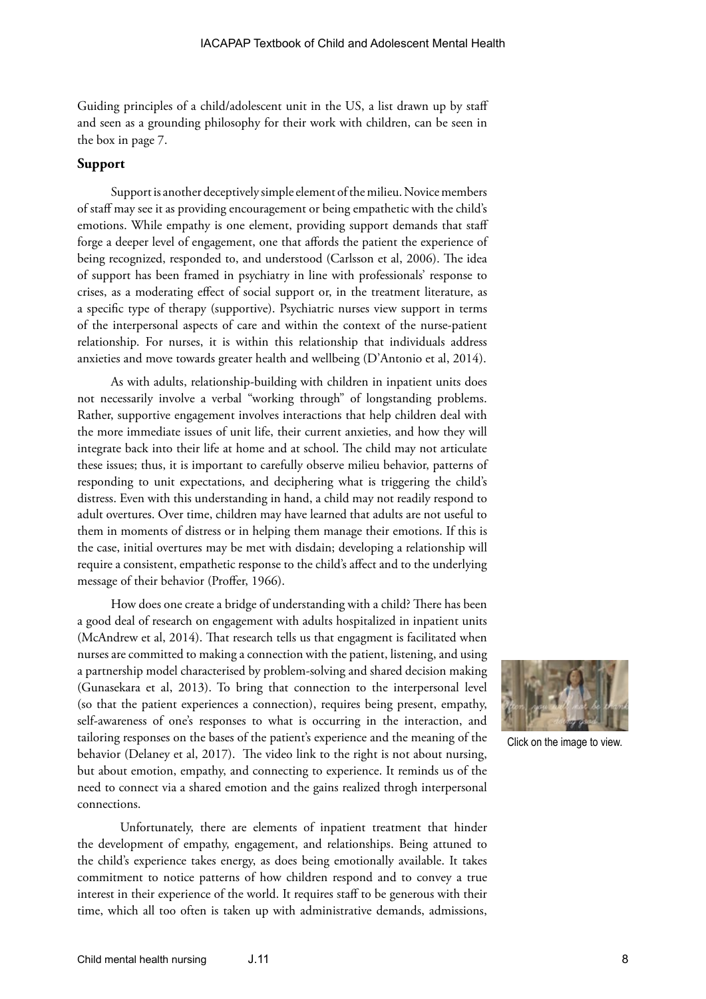Guiding principles of a child/adolescent unit in the US, a list drawn up by staff and seen as a grounding philosophy for their work with children, can be seen in the box in page 7.

#### **Support**

Support is another deceptively simple element of the milieu. Novice members of staff may see it as providing encouragement or being empathetic with the child's emotions. While empathy is one element, providing support demands that staff forge a deeper level of engagement, one that affords the patient the experience of being recognized, responded to, and understood (Carlsson et al, 2006). The idea of support has been framed in psychiatry in line with professionals' response to crises, as a moderating effect of social support or, in the treatment literature, as a specific type of therapy (supportive). Psychiatric nurses view support in terms of the interpersonal aspects of care and within the context of the nurse-patient relationship. For nurses, it is within this relationship that individuals address anxieties and move towards greater health and wellbeing (D'Antonio et al, 2014).

As with adults, relationship-building with children in inpatient units does not necessarily involve a verbal "working through" of longstanding problems. Rather, supportive engagement involves interactions that help children deal with the more immediate issues of unit life, their current anxieties, and how they will integrate back into their life at home and at school. The child may not articulate these issues; thus, it is important to carefully observe milieu behavior, patterns of responding to unit expectations, and deciphering what is triggering the child's distress. Even with this understanding in hand, a child may not readily respond to adult overtures. Over time, children may have learned that adults are not useful to them in moments of distress or in helping them manage their emotions. If this is the case, initial overtures may be met with disdain; developing a relationship will require a consistent, empathetic response to the child's affect and to the underlying message of their behavior (Proffer, 1966).

How does one create a bridge of understanding with a child? There has been a good deal of research on engagement with adults hospitalized in inpatient units (McAndrew et al, 2014). That research tells us that engagment is facilitated when nurses are committed to making a connection with the patient, listening, and using a partnership model characterised by problem-solving and shared decision making (Gunasekara et al, 2013). To bring that connection to the interpersonal level (so that the patient experiences a connection), requires being present, empathy, self-awareness of one's responses to what is occurring in the interaction, and tailoring responses on the bases of the patient's experience and the meaning of the behavior (Delaney et al, 2017). The video link to the right is not about nursing, but about emotion, empathy, and connecting to experience. It reminds us of the need to connect via a shared emotion and the gains realized throgh interpersonal connections.

Unfortunately, there are elements of inpatient treatment that hinder the development of empathy, engagement, and relationships. Being attuned to the child's experience takes energy, as does being emotionally available. It takes commitment to notice patterns of how children respond and to convey a true interest in their experience of the world. It requires staff to be generous with their time, which all too often is taken up with administrative demands, admissions,



Click on the image to view.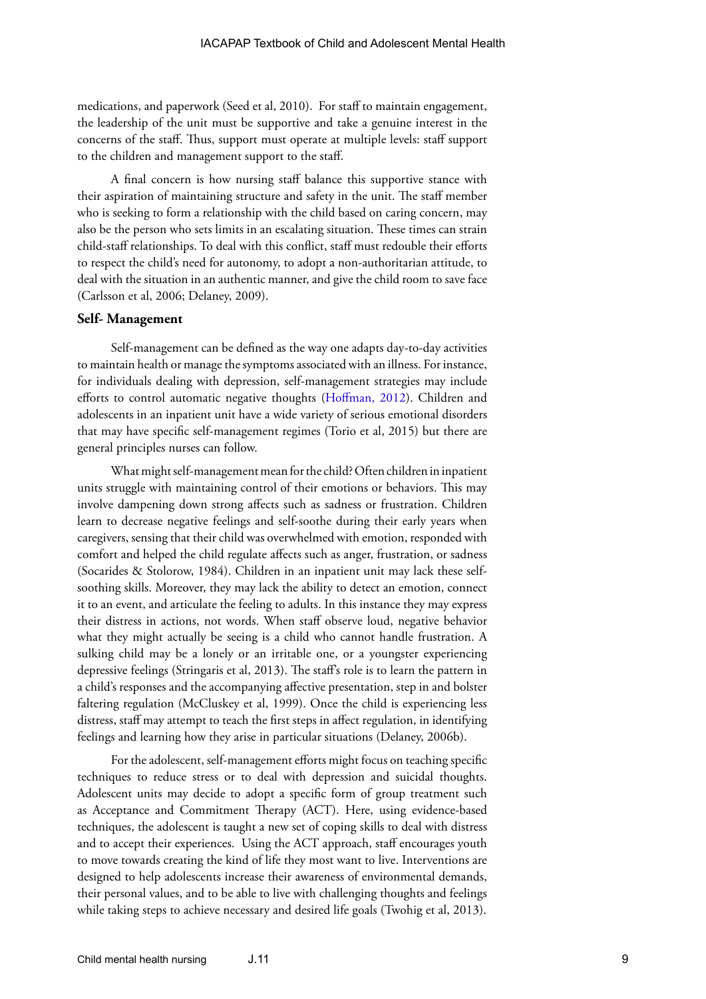medications, and paperwork (Seed et al, 2010). For staff to maintain engagement, the leadership of the unit must be supportive and take a genuine interest in the concerns of the staff. Thus, support must operate at multiple levels: staff support to the children and management support to the staff.

A final concern is how nursing staff balance this supportive stance with their aspiration of maintaining structure and safety in the unit. The staff member who is seeking to form a relationship with the child based on caring concern, may also be the person who sets limits in an escalating situation. These times can strain child-staff relationships. To deal with this conflict, staff must redouble their efforts to respect the child's need for autonomy, to adopt a non-authoritarian attitude, to deal with the situation in an authentic manner, and give the child room to save face (Carlsson et al, 2006; Delaney, 2009).

#### **Self- Management**

Self-management can be defined as the way one adapts day-to-day activities to maintain health or manage the symptoms associated with an illness. For instance, for individuals dealing with depression, self-management strategies may include efforts to control automatic negative thoughts (Hoffman, 2012). Children and adolescents in an inpatient unit have a wide variety of serious emotional disorders that may have specific self-management regimes (Torio et al, 2015) but there are general principles nurses can follow.

What might self-management mean for the child? Often children in inpatient units struggle with maintaining control of their emotions or behaviors. This may involve dampening down strong affects such as sadness or frustration. Children learn to decrease negative feelings and self-soothe during their early years when caregivers, sensing that their child was overwhelmed with emotion, responded with comfort and helped the child regulate affects such as anger, frustration, or sadness (Socarides & Stolorow, 1984). Children in an inpatient unit may lack these selfsoothing skills. Moreover, they may lack the ability to detect an emotion, connect it to an event, and articulate the feeling to adults. In this instance they may express their distress in actions, not words. When staff observe loud, negative behavior what they might actually be seeing is a child who cannot handle frustration. A sulking child may be a lonely or an irritable one, or a youngster experiencing depressive feelings (Stringaris et al, 2013). The staff's role is to learn the pattern in a child's responses and the accompanying affective presentation, step in and bolster faltering regulation (McCluskey et al, 1999). Once the child is experiencing less distress, staff may attempt to teach the first steps in affect regulation, in identifying feelings and learning how they arise in particular situations (Delaney, 2006b).

For the adolescent, self-management efforts might focus on teaching specific techniques to reduce stress or to deal with depression and suicidal thoughts. Adolescent units may decide to adopt a specific form of group treatment such as Acceptance and Commitment Therapy (ACT). Here, using evidence-based techniques, the adolescent is taught a new set of coping skills to deal with distress and to accept their experiences. Using the ACT approach, staff encourages youth to move towards creating the kind of life they most want to live. Interventions are designed to help adolescents increase their awareness of environmental demands, their personal values, and to be able to live with challenging thoughts and feelings while taking steps to achieve necessary and desired life goals (Twohig et al, 2013).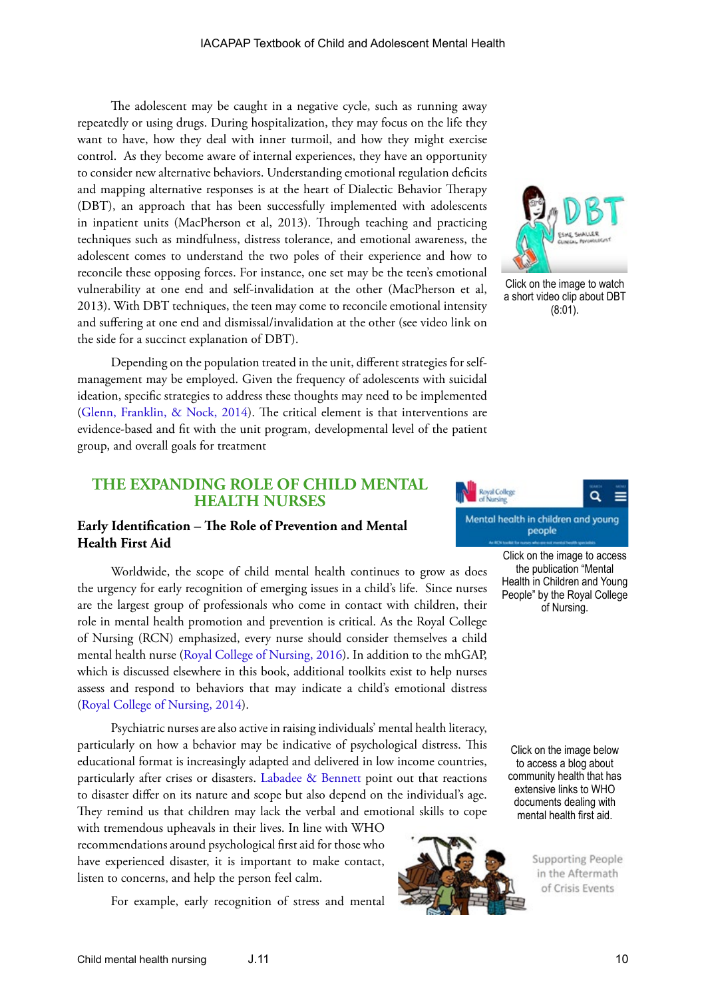The adolescent may be caught in a negative cycle, such as running away repeatedly or using drugs. During hospitalization, they may focus on the life they want to have, how they deal with inner turmoil, and how they might exercise control. As they become aware of internal experiences, they have an opportunity to consider new alternative behaviors. Understanding emotional regulation deficits and mapping alternative responses is at the heart of Dialectic Behavior Therapy (DBT), an approach that has been successfully implemented with adolescents in inpatient units (MacPherson et al, 2013). Through teaching and practicing techniques such as mindfulness, distress tolerance, and emotional awareness, the adolescent comes to understand the two poles of their experience and how to reconcile these opposing forces. For instance, one set may be the teen's emotional vulnerability at one end and self-invalidation at the other (MacPherson et al, 2013). With DBT techniques, the teen may come to reconcile emotional intensity and suffering at one end and dismissal/invalidation at the other (see video link on the side for a succinct explanation of DBT).

Depending on the population treated in the unit, different strategies for selfmanagement may be employed. Given the frequency of adolescents with suicidal ideation, specific strategies to address these thoughts may need to be implemented ([Glenn, Franklin, & Nock, 2014\)](http://dx.doi.org/10.1080/15374416.2014.945211). The critical element is that interventions are evidence-based and fit with the unit program, developmental level of the patient group, and overall goals for treatment

# **THE EXPANDING ROLE OF CHILD MENTAL HEALTH NURSES**

# **Early Identification – The Role of Prevention and Mental Health First Aid**

Worldwide, the scope of child mental health continues to grow as does the urgency for early recognition of emerging issues in a child's life. Since nurses are the largest group of professionals who come in contact with children, their role in mental health promotion and prevention is critical. As the Royal College of Nursing (RCN) emphasized, every nurse should consider themselves a child mental health nurse ([Royal College of Nursing, 2016\)](https://my.rcn.org.uk/__data/assets/pdf_file/0005/587615/004_587_WEB.pdf). In addition to the mhGAP, which is discussed elsewhere in this book, additional toolkits exist to help nurses assess and respond to behaviors that may indicate a child's emotional distress ([Royal College of Nursing, 2014\)](https://www.rcn.org.uk/professional-development/publications/pub-003311).

Psychiatric nurses are also active in raising individuals' mental health literacy, particularly on how a behavior may be indicative of psychological distress. This educational format is increasingly adapted and delivered in low income countries, particularly after crises or disasters. [Labadee & Bennett](http://www.paho.org/disasters/index.php?option=com_docman&view=download&category_slug=books&alias=2564-health-sector-recovery-564&Itemid=1179&lang=en) point out that reactions to disaster differ on its nature and scope but also depend on the individual's age. They remind us that children may lack the verbal and emotional skills to cope

with tremendous upheavals in their lives. In line with WHO recommendations around psychological first aid for those who have experienced disaster, it is important to make contact, listen to concerns, and help the person feel calm.

For example, early recognition of stress and mental



Click on the image to watch a short video clip about DBT (8:01).



Click on the image to access the publication "Mental Health in Children and Young People" by the Royal College of Nursing.

Click on the image below to access a blog about community health that has extensive links to WHO documents dealing with mental health first aid.



**Supporting People** in the Aftermath of Crisis Events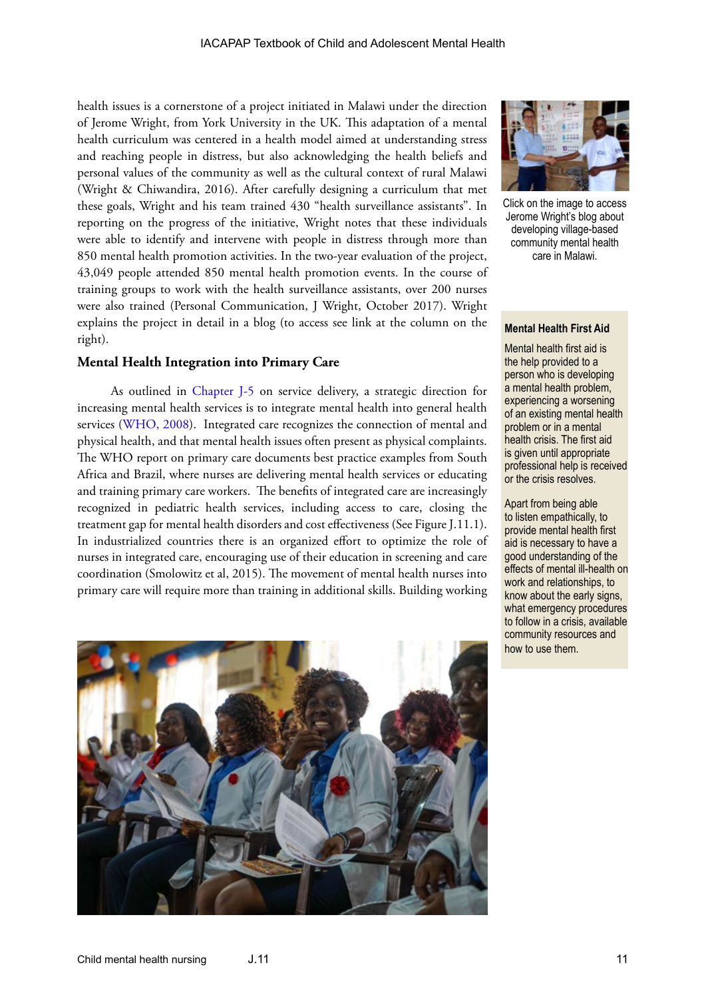health issues is a cornerstone of a project initiated in Malawi under the direction of Jerome Wright, from York University in the UK. This adaptation of a mental health curriculum was centered in a health model aimed at understanding stress and reaching people in distress, but also acknowledging the health beliefs and personal values of the community as well as the cultural context of rural Malawi (Wright & Chiwandira, 2016). After carefully designing a curriculum that met these goals, Wright and his team trained 430 "health surveillance assistants". In reporting on the progress of the initiative, Wright notes that these individuals were able to identify and intervene with people in distress through more than 850 mental health promotion activities. In the two-year evaluation of the project, 43,049 people attended 850 mental health promotion events. In the course of training groups to work with the health surveillance assistants, over 200 nurses were also trained (Personal Communication, J Wright, October 2017). Wright explains the project in detail in a blog (to access see link at the column on the right).

#### **Mental Health Integration into Primary Care**

As outlined in [Chapter J-5](http://iacapap.org/wp-content/uploads/J.5-SERVICE-DELIVERY-072012.pdf) on service delivery, a strategic direction for increasing mental health services is to integrate mental health into general health services ([WHO, 2008](http://www.who.int/mental_health/policy/Mental%20health%20+%20primary%20care-%20final%20low-res%20140908.pdf)). Integrated care recognizes the connection of mental and physical health, and that mental health issues often present as physical complaints. The WHO report on primary care documents best practice examples from South Africa and Brazil, where nurses are delivering mental health services or educating and training primary care workers. The benefits of integrated care are increasingly recognized in pediatric health services, including access to care, closing the treatment gap for mental health disorders and cost effectiveness (See Figure J.11.1). In industrialized countries there is an organized effort to optimize the role of nurses in integrated care, encouraging use of their education in screening and care coordination (Smolowitz et al, 2015). The movement of mental health nurses into primary care will require more than training in additional skills. Building working





Click on the image to access Jerome Wright's blog about developing village-based community mental health care in Malawi.

#### **Mental Health First Aid**

Mental health first aid is the help provided to a person who is developing a mental health problem, experiencing a worsening of an existing mental health problem or in a mental health crisis. The first aid is given until appropriate professional help is received or the crisis resolves.

Apart from being able to listen empathically, to provide mental health first aid is necessary to have a good understanding of the effects of mental ill-health on work and relationships, to know about the early signs, what emergency procedures to follow in a crisis, available community resources and how to use them.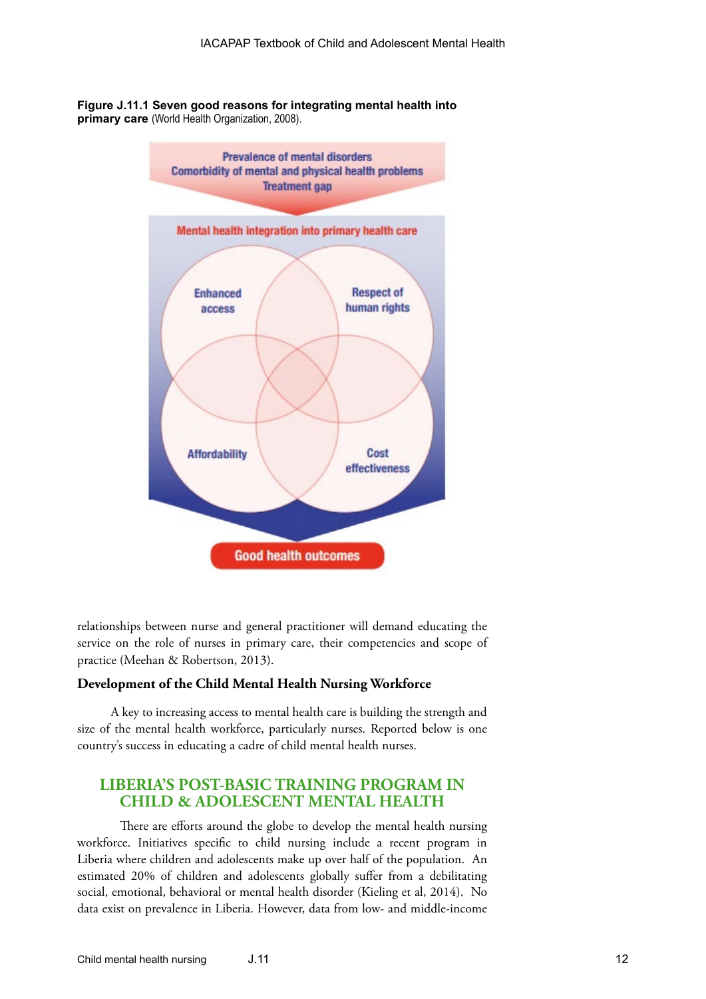**Figure J.11.1 Seven good reasons for integrating mental health into primary care** (World Health Organization, 2008).



relationships between nurse and general practitioner will demand educating the service on the role of nurses in primary care, their competencies and scope of practice (Meehan & Robertson, 2013).

#### **Development of the Child Mental Health Nursing Workforce**

A key to increasing access to mental health care is building the strength and size of the mental health workforce, particularly nurses. Reported below is one country's success in educating a cadre of child mental health nurses.

# **LIBERIA'S POST-BASIC TRAINING PROGRAM IN CHILD & ADOLESCENT MENTAL HEALTH**

There are efforts around the globe to develop the mental health nursing workforce. Initiatives specific to child nursing include a recent program in Liberia where children and adolescents make up over half of the population. An estimated 20% of children and adolescents globally suffer from a debilitating social, emotional, behavioral or mental health disorder (Kieling et al, 2014). No data exist on prevalence in Liberia. However, data from low- and middle-income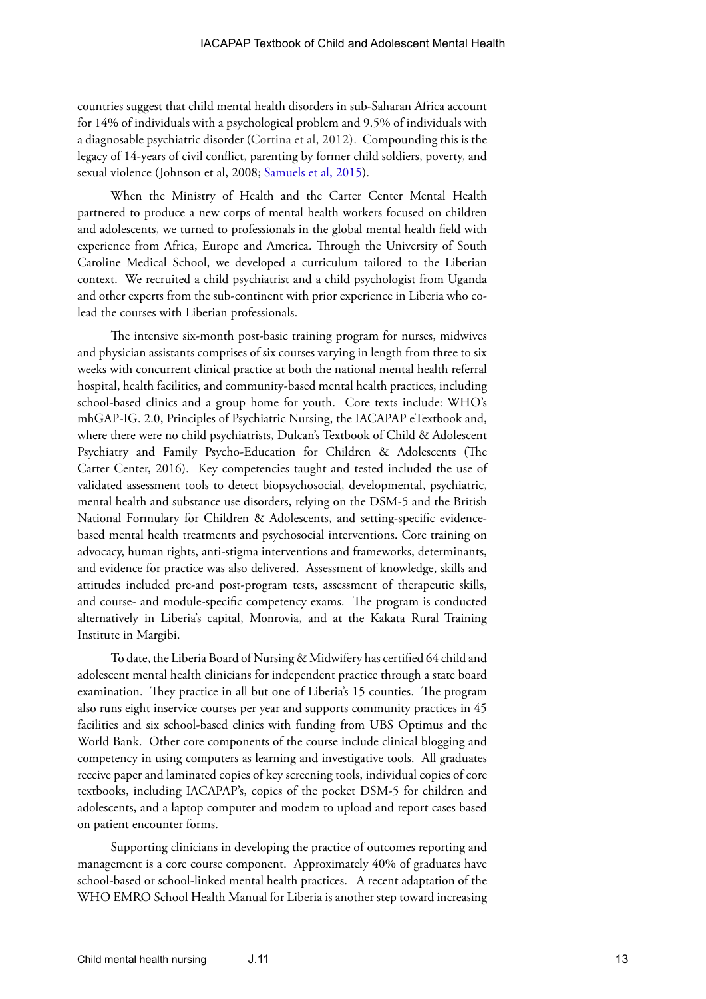countries suggest that child mental health disorders in sub-Saharan Africa account for 14% of individuals with a psychological problem and 9.5% of individuals with a diagnosable psychiatric disorder (Cortina et al, 2012). Compounding this is the legacy of 14-years of civil conflict, parenting by former child soldiers, poverty, and sexual violence (Johnson et al, 2008; [Samuels et al, 2015](https://www.odi.org/sites/odi.org.uk/files/odi-assets/publications-opinion-files/10131.pdf)).

When the Ministry of Health and the Carter Center Mental Health partnered to produce a new corps of mental health workers focused on children and adolescents, we turned to professionals in the global mental health field with experience from Africa, Europe and America. Through the University of South Caroline Medical School, we developed a curriculum tailored to the Liberian context. We recruited a child psychiatrist and a child psychologist from Uganda and other experts from the sub-continent with prior experience in Liberia who colead the courses with Liberian professionals.

The intensive six-month post-basic training program for nurses, midwives and physician assistants comprises of six courses varying in length from three to six weeks with concurrent clinical practice at both the national mental health referral hospital, health facilities, and community-based mental health practices, including school-based clinics and a group home for youth. Core texts include: WHO's mhGAP-IG. 2.0, Principles of Psychiatric Nursing, the IACAPAP eTextbook and, where there were no child psychiatrists, Dulcan's Textbook of Child & Adolescent Psychiatry and Family Psycho-Education for Children & Adolescents (The Carter Center, 2016). Key competencies taught and tested included the use of validated assessment tools to detect biopsychosocial, developmental, psychiatric, mental health and substance use disorders, relying on the DSM-5 and the British National Formulary for Children & Adolescents, and setting-specific evidencebased mental health treatments and psychosocial interventions. Core training on advocacy, human rights, anti-stigma interventions and frameworks, determinants, and evidence for practice was also delivered. Assessment of knowledge, skills and attitudes included pre-and post-program tests, assessment of therapeutic skills, and course- and module-specific competency exams. The program is conducted alternatively in Liberia's capital, Monrovia, and at the Kakata Rural Training Institute in Margibi.

To date, the Liberia Board of Nursing & Midwifery has certified 64 child and adolescent mental health clinicians for independent practice through a state board examination. They practice in all but one of Liberia's 15 counties. The program also runs eight inservice courses per year and supports community practices in 45 facilities and six school-based clinics with funding from UBS Optimus and the World Bank. Other core components of the course include clinical blogging and competency in using computers as learning and investigative tools. All graduates receive paper and laminated copies of key screening tools, individual copies of core textbooks, including IACAPAP's, copies of the pocket DSM-5 for children and adolescents, and a laptop computer and modem to upload and report cases based on patient encounter forms.

Supporting clinicians in developing the practice of outcomes reporting and management is a core course component. Approximately 40% of graduates have school-based or school-linked mental health practices. A recent adaptation of the WHO EMRO School Health Manual for Liberia is another step toward increasing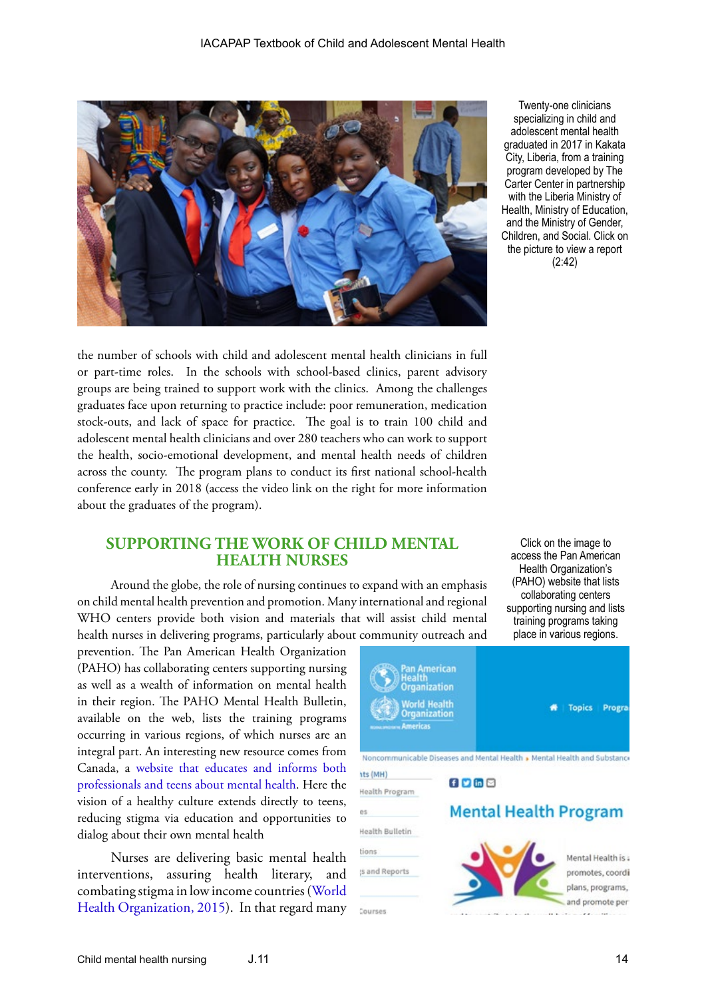

Twenty-one clinicians specializing in child and adolescent mental health graduated in 2017 in Kakata City, Liberia, from a training program developed by The Carter Center in partnership with the Liberia Ministry of Health, Ministry of Education, and the Ministry of Gender, Children, and Social. Click on the picture to view a report (2:42)

the number of schools with child and adolescent mental health clinicians in full or part-time roles. In the schools with school-based clinics, parent advisory groups are being trained to support work with the clinics. Among the challenges graduates face upon returning to practice include: poor remuneration, medication stock-outs, and lack of space for practice. The goal is to train 100 child and adolescent mental health clinicians and over 280 teachers who can work to support the health, socio-emotional development, and mental health needs of children across the county. The program plans to conduct its first national school-health conference early in 2018 (access the video link on the right for more information about the graduates of the program).

# **SUPPORTING THE WORK OF CHILD MENTAL HEALTH NURSES**

Around the globe, the role of nursing continues to expand with an emphasis on child mental health prevention and promotion. Many international and regional WHO centers provide both vision and materials that will assist child mental health nurses in delivering programs, particularly about community outreach and

prevention. The Pan American Health Organization (PAHO) has collaborating centers supporting nursing as well as a wealth of information on mental health in their region. The PAHO Mental Health Bulletin, available on the web, lists the training programs occurring in various regions, of which nurses are an integral part. An interesting new resource comes from Canada, a [website that educates and informs both](http://teenmentalhealth.org/) [professionals and teens about mental health.](http://teenmentalhealth.org/) Here the vision of a healthy culture extends directly to teens, reducing stigma via education and opportunities to dialog about their own mental health

Nurses are delivering basic mental health interventions, assuring health literary, and combating stigma in low income countries ([World](http://apps.who.int/iris/bitstream/10665/178879/1/9789241565011_eng.pdf) [Health Organization, 2015](http://apps.who.int/iris/bitstream/10665/178879/1/9789241565011_eng.pdf)). In that regard many

Click on the image to access the Pan American Health Organization's (PAHO) website that lists collaborating centers supporting nursing and lists training programs taking place in various regions.

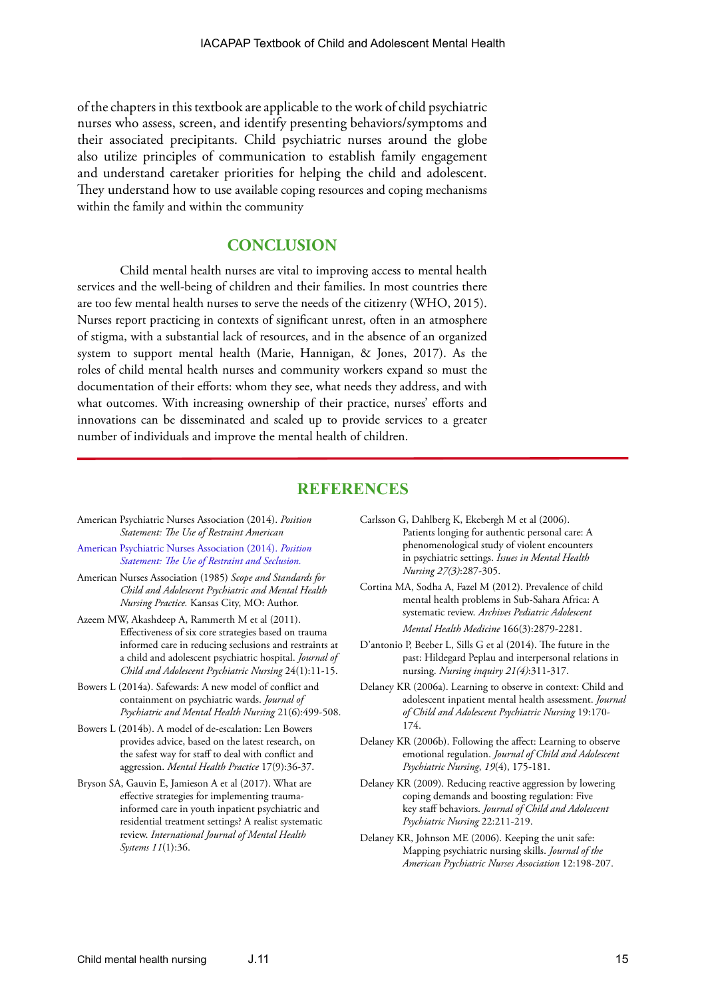of the chapters in this textbook are applicable to the work of child psychiatric nurses who assess, screen, and identify presenting behaviors/symptoms and their associated precipitants. Child psychiatric nurses around the globe also utilize principles of communication to establish family engagement and understand caretaker priorities for helping the child and adolescent. They understand how to use available coping resources and coping mechanisms within the family and within the community

# **CONCLUSION**

Child mental health nurses are vital to improving access to mental health services and the well-being of children and their families. In most countries there are too few mental health nurses to serve the needs of the citizenry (WHO, 2015). Nurses report practicing in contexts of significant unrest, often in an atmosphere of stigma, with a substantial lack of resources, and in the absence of an organized system to support mental health (Marie, Hannigan, & Jones, 2017). As the roles of child mental health nurses and community workers expand so must the documentation of their efforts: whom they see, what needs they address, and with what outcomes. With increasing ownership of their practice, nurses' efforts and innovations can be disseminated and scaled up to provide services to a greater number of individuals and improve the mental health of children.

# **REFERENCES**

- American Psychiatric Nurses Association (2014). *Position Statement: The Use of Restraint American*
- [American Psychiatric Nurses Association \(2014\).](http://www.apna.org/files/public/Seclusion_&_Restraint_Position_Paper.pdf) *Position [Statement: The Use of Restraint and Seclusion.](http://www.apna.org/files/public/Seclusion_&_Restraint_Position_Paper.pdf)*
- American Nurses Association (1985) *Scope and Standards for Child and Adolescent Psychiatric and Mental Health Nursing Practice.* Kansas City, MO: Author.
- Azeem MW, Akashdeep A, Rammerth M et al (2011). Effectiveness of six core strategies based on trauma informed care in reducing seclusions and restraints at a child and adolescent psychiatric hospital. *Journal of Child and Adolescent Psychiatric Nursing* 24(1):11-15.
- Bowers L (2014a). Safewards: A new model of conflict and containment on psychiatric wards. *Journal of Psychiatric and Mental Health Nursing* 21(6):499-508.
- Bowers L (2014b). A model of de-escalation: Len Bowers provides advice, based on the latest research, on the safest way for staff to deal with conflict and aggression. *Mental Health Practice* 17(9):36-37.
- Bryson SA, Gauvin E, Jamieson A et al (2017). What are effective strategies for implementing traumainformed care in youth inpatient psychiatric and residential treatment settings? A realist systematic review. *International Journal of Mental Health Systems 11*(1):36.
- Carlsson G, Dahlberg K, Ekebergh M et al (2006). Patients longing for authentic personal care: A phenomenological study of violent encounters in psychiatric settings. *Issues in Mental Health Nursing 27(3)*:287-305.
- Cortina MA, Sodha A, Fazel M (2012). Prevalence of child mental health problems in Sub-Sahara Africa: A systematic review. *Archives Pediatric Adolescent Mental Health Medicine* 166(3):2879-2281.
- D'antonio P, Beeber L, Sills G et al (2014). The future in the past: Hildegard Peplau and interpersonal relations in nursing. *Nursing inquiry 21(4)*:311-317.
- Delaney KR (2006a). Learning to observe in context: Child and adolescent inpatient mental health assessment. *Journal of Child and Adolescent Psychiatric Nursing* 19:170- 174.
- Delaney KR (2006b). Following the affect: Learning to observe emotional regulation. *Journal of Child and Adolescent Psychiatric Nursing*, *19*(4), 175-181.
- Delaney KR (2009). Reducing reactive aggression by lowering coping demands and boosting regulation: Five key staff behaviors. *Journal of Child and Adolescent Psychiatric Nursing* 22:211-219.
- Delaney KR, Johnson ME (2006). Keeping the unit safe: Mapping psychiatric nursing skills. *Journal of the American Psychiatric Nurses Association* 12:198-207.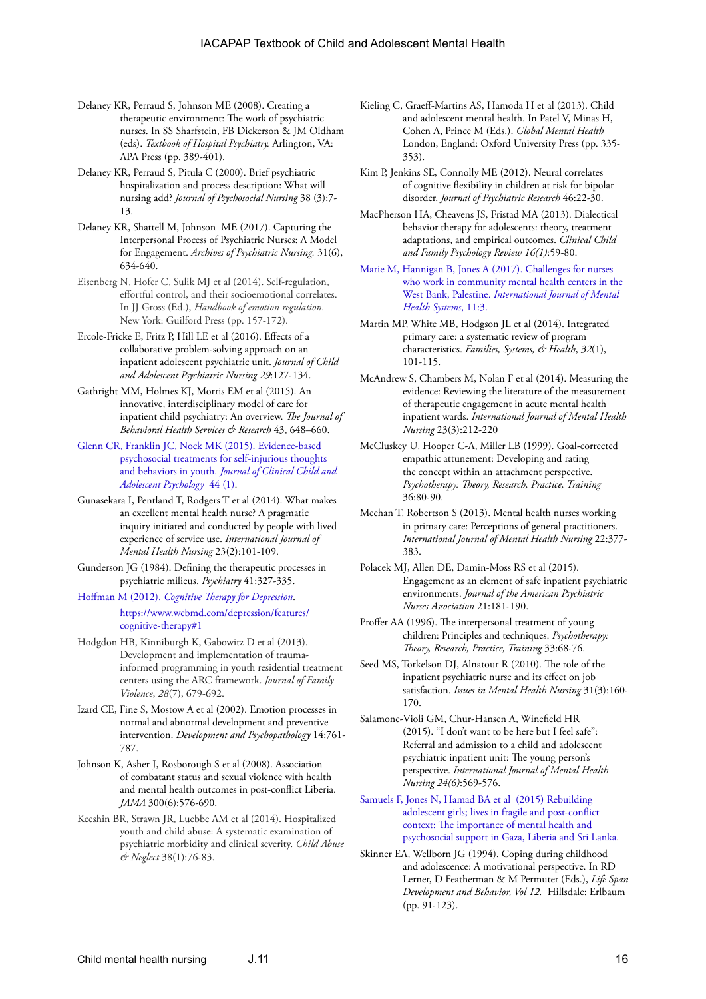- Delaney KR, Perraud S, Johnson ME (2008). Creating a therapeutic environment: The work of psychiatric nurses. In SS Sharfstein, FB Dickerson & JM Oldham (eds). *Textbook of Hospital Psychiatry.* Arlington, VA: APA Press (pp. 389-401).
- Delaney KR, Perraud S, Pitula C (2000). Brief psychiatric hospitalization and process description: What will nursing add? *Journal of Psychosocial Nursing* 38 (3):7- 13.
- Delaney KR, Shattell M, Johnson ME (2017). Capturing the Interpersonal Process of Psychiatric Nurses: A Model for Engagement. *Archives of Psychiatric Nursing.* 31(6), 634-640.
- Eisenberg N, Hofer C, Sulik MJ et al (2014). Self-regulation, effortful control, and their socioemotional correlates. In JJ Gross (Ed.), *Handbook of emotion regulation*. New York: Guilford Press (pp. 157-172).
- Ercole-Fricke E, Fritz P, Hill LE et al (2016). Effects of a collaborative problem-solving approach on an inpatient adolescent psychiatric unit. *Journal of Child and Adolescent Psychiatric Nursing 29*:127-134.
- Gathright MM, Holmes KJ, Morris EM et al (2015). An innovative, interdisciplinary model of care for inpatient child psychiatry: An overview. *The Journal of Behavioral Health Services & Research* 43, 648–660.
- [Glenn CR, Franklin JC, Nock MK \(2015\). Evidence-based](http://dx.doi.org/10.1080/15374416.2014.945211)  [psychosocial treatments for self-injurious thoughts](http://dx.doi.org/10.1080/15374416.2014.945211)  and behaviors in youth. *[Journal of Clinical Child and](http://dx.doi.org/10.1080/15374416.2014.945211)  [Adolescent Psychology](http://dx.doi.org/10.1080/15374416.2014.945211)* 44 (1).
- Gunasekara I, Pentland T, Rodgers T et al (2014). What makes an excellent mental health nurse? A pragmatic inquiry initiated and conducted by people with lived experience of service use. *International Journal of Mental Health Nursing* 23(2):101-109.
- Gunderson JG (1984). Defining the therapeutic processes in psychiatric milieus. *Psychiatry* 41:327-335.
- Hoffman M (2012). *Cognitive Therapy for Depression*. https://www.webmd.com/depression/features/ cognitive-therapy#1
- Hodgdon HB, Kinniburgh K, Gabowitz D et al (2013). Development and implementation of traumainformed programming in youth residential treatment centers using the ARC framework. *Journal of Family Violence*, *28*(7), 679-692.
- Izard CE, Fine S, Mostow A et al (2002). Emotion processes in normal and abnormal development and preventive intervention. *Development and Psychopathology* 14:761- 787.
- Johnson K, Asher J, Rosborough S et al (2008). Association of combatant status and sexual violence with health and mental health outcomes in post-conflict Liberia. *JAMA* 300(6):576-690.
- Keeshin BR, Strawn JR, Luebbe AM et al (2014). Hospitalized youth and child abuse: A systematic examination of psychiatric morbidity and clinical severity. *Child Abuse & Neglect* 38(1):76-83.
- Kieling C, Graeff-Martins AS, Hamoda H et al (2013). Child and adolescent mental health. In Patel V, Minas H, Cohen A, Prince M (Eds.). *Global Mental Health* London, England: Oxford University Press (pp. 335- 353).
- Kim P, Jenkins SE, Connolly ME (2012). Neural correlates of cognitive flexibility in children at risk for bipolar disorder. *Journal of Psychiatric Research* 46:22-30.
- MacPherson HA, Cheavens JS, Fristad MA (2013). Dialectical behavior therapy for adolescents: theory, treatment adaptations, and empirical outcomes. *Clinical Child and Family Psychology Review 16(1)*:59-80.
- [Marie M, Hannigan B, Jones A \(2017\). Challenges for nurses](https://www.ncbi.nlm.nih.gov/pmc/articles/PMC5210163/)  [who work in community mental health centers in the](https://www.ncbi.nlm.nih.gov/pmc/articles/PMC5210163/)  West Bank, Palestine. *[International Journal of Mental](https://www.ncbi.nlm.nih.gov/pmc/articles/PMC5210163/)  [Health Systems](https://www.ncbi.nlm.nih.gov/pmc/articles/PMC5210163/)*, 11:3.
- Martin MP, White MB, Hodgson JL et al (2014). Integrated primary care: a systematic review of program characteristics. *Families, Systems, & Health*, *32*(1), 101-115.
- McAndrew S, Chambers M, Nolan F et al (2014). Measuring the evidence: Reviewing the literature of the measurement of therapeutic engagement in acute mental health inpatient wards. *International Journal of Mental Health Nursing* 23(3):212-220
- McCluskey U, Hooper C-A, Miller LB (1999). Goal-corrected empathic attunement: Developing and rating the concept within an attachment perspective. *Psychotherapy: Theory, Research, Practice, Training* 36:80-90.
- Meehan T, Robertson S (2013). Mental health nurses working in primary care: Perceptions of general practitioners. *International Journal of Mental Health Nursing* 22:377- 383.
- Polacek MJ, Allen DE, Damin-Moss RS et al (2015). Engagement as an element of safe inpatient psychiatric environments. *Journal of the American Psychiatric Nurses Association* 21:181-190.
- Proffer AA (1996). The interpersonal treatment of young children: Principles and techniques. *Psychotherapy: Theory, Research, Practice, Training* 33:68-76.
- Seed MS, Torkelson DJ, Alnatour R (2010). The role of the inpatient psychiatric nurse and its effect on job satisfaction. *Issues in Mental Health Nursing* 31(3):160- 170.
- Salamone-Violi GM, Chur-Hansen A, Winefield HR (2015). "I don't want to be here but I feel safe": Referral and admission to a child and adolescent psychiatric inpatient unit: The young person's perspective. *International Journal of Mental Health Nursing 24(6)*:569-576.
- [Samuels F, Jones N, Hamad BA et al \(2015\) Rebuilding](https://www.odi.org/sites/odi.org.uk/files/odi-assets/publications-opinion-files/10131.pdf)  [adolescent girls; lives in fragile and post-conflict](https://www.odi.org/sites/odi.org.uk/files/odi-assets/publications-opinion-files/10131.pdf)  [context: The importance of mental health and](https://www.odi.org/sites/odi.org.uk/files/odi-assets/publications-opinion-files/10131.pdf)  [psychosocial support in Gaza, Liberia and Sri Lanka.](https://www.odi.org/sites/odi.org.uk/files/odi-assets/publications-opinion-files/10131.pdf)
- Skinner EA, Wellborn JG (1994). Coping during childhood and adolescence: A motivational perspective. In RD Lerner, D Featherman & M Permuter (Eds.), *Life Span Development and Behavior, Vol 12.* Hillsdale: Erlbaum (pp. 91-123).